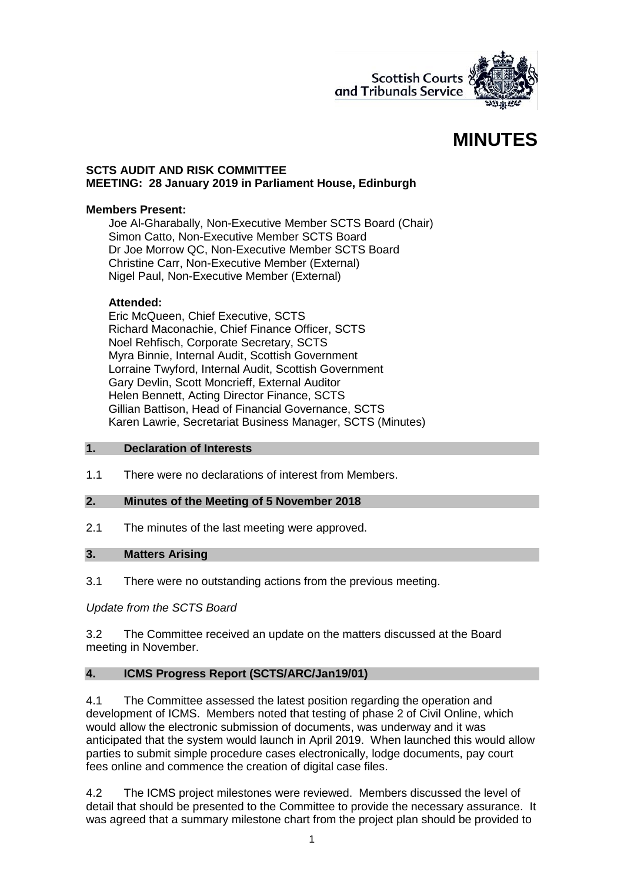

# **MINUTES**

#### **SCTS AUDIT AND RISK COMMITTEE MEETING: 28 January 2019 in Parliament House, Edinburgh**

#### **Members Present:**

Joe Al-Gharabally, Non-Executive Member SCTS Board (Chair) Simon Catto, Non-Executive Member SCTS Board Dr Joe Morrow QC, Non-Executive Member SCTS Board Christine Carr, Non-Executive Member (External) Nigel Paul, Non-Executive Member (External)

#### **Attended:**

Eric McQueen, Chief Executive, SCTS Richard Maconachie, Chief Finance Officer, SCTS Noel Rehfisch, Corporate Secretary, SCTS Myra Binnie, Internal Audit, Scottish Government Lorraine Twyford, Internal Audit, Scottish Government Gary Devlin, Scott Moncrieff, External Auditor Helen Bennett, Acting Director Finance, SCTS Gillian Battison, Head of Financial Governance, SCTS Karen Lawrie, Secretariat Business Manager, SCTS (Minutes)

#### **1. Declaration of Interests**

1.1 There were no declarations of interest from Members.

#### **2. Minutes of the Meeting of 5 November 2018**

2.1 The minutes of the last meeting were approved.

#### **3. Matters Arising**

3.1 There were no outstanding actions from the previous meeting.

## *Update from the SCTS Board*

3.2 The Committee received an update on the matters discussed at the Board meeting in November.

## **4. ICMS Progress Report (SCTS/ARC/Jan19/01)**

4.1 The Committee assessed the latest position regarding the operation and development of ICMS. Members noted that testing of phase 2 of Civil Online, which would allow the electronic submission of documents, was underway and it was anticipated that the system would launch in April 2019. When launched this would allow parties to submit simple procedure cases electronically, lodge documents, pay court fees online and commence the creation of digital case files.

4.2 The ICMS project milestones were reviewed. Members discussed the level of detail that should be presented to the Committee to provide the necessary assurance. It was agreed that a summary milestone chart from the project plan should be provided to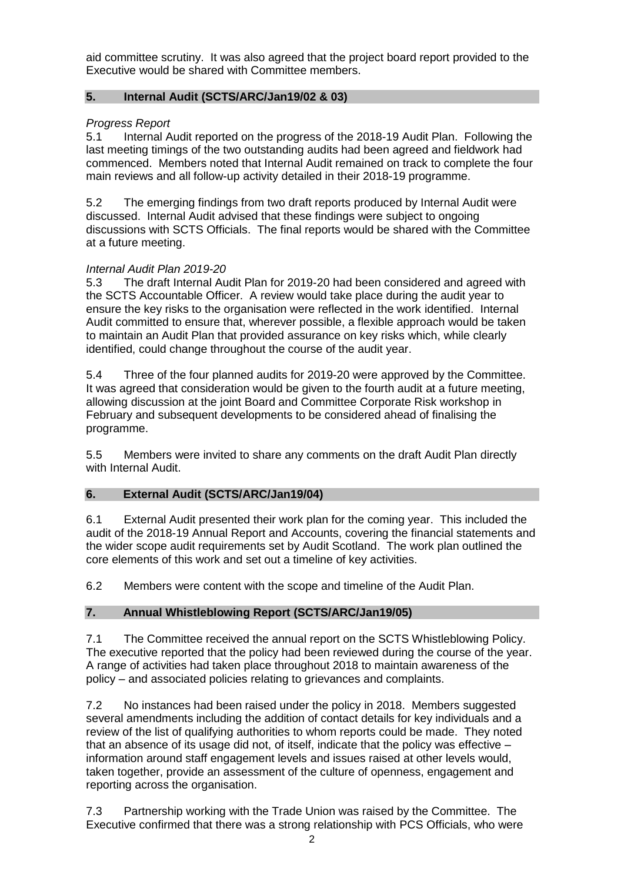aid committee scrutiny. It was also agreed that the project board report provided to the Executive would be shared with Committee members.

# **5. Internal Audit (SCTS/ARC/Jan19/02 & 03)**

# *Progress Report*

5.1 Internal Audit reported on the progress of the 2018-19 Audit Plan. Following the last meeting timings of the two outstanding audits had been agreed and fieldwork had commenced. Members noted that Internal Audit remained on track to complete the four main reviews and all follow-up activity detailed in their 2018-19 programme.

5.2 The emerging findings from two draft reports produced by Internal Audit were discussed. Internal Audit advised that these findings were subject to ongoing discussions with SCTS Officials. The final reports would be shared with the Committee at a future meeting.

# *Internal Audit Plan 2019-20*

5.3 The draft Internal Audit Plan for 2019-20 had been considered and agreed with the SCTS Accountable Officer. A review would take place during the audit year to ensure the key risks to the organisation were reflected in the work identified. Internal Audit committed to ensure that, wherever possible, a flexible approach would be taken to maintain an Audit Plan that provided assurance on key risks which, while clearly identified, could change throughout the course of the audit year.

5.4 Three of the four planned audits for 2019-20 were approved by the Committee. It was agreed that consideration would be given to the fourth audit at a future meeting, allowing discussion at the joint Board and Committee Corporate Risk workshop in February and subsequent developments to be considered ahead of finalising the programme.

5.5 Members were invited to share any comments on the draft Audit Plan directly with Internal Audit.

## **6. External Audit (SCTS/ARC/Jan19/04)**

6.1 External Audit presented their work plan for the coming year. This included the audit of the 2018-19 Annual Report and Accounts, covering the financial statements and the wider scope audit requirements set by Audit Scotland. The work plan outlined the core elements of this work and set out a timeline of key activities.

6.2 Members were content with the scope and timeline of the Audit Plan.

# **7. Annual Whistleblowing Report (SCTS/ARC/Jan19/05)**

7.1 The Committee received the annual report on the SCTS Whistleblowing Policy. The executive reported that the policy had been reviewed during the course of the year. A range of activities had taken place throughout 2018 to maintain awareness of the policy – and associated policies relating to grievances and complaints.

7.2 No instances had been raised under the policy in 2018. Members suggested several amendments including the addition of contact details for key individuals and a review of the list of qualifying authorities to whom reports could be made. They noted that an absence of its usage did not, of itself, indicate that the policy was effective – information around staff engagement levels and issues raised at other levels would, taken together, provide an assessment of the culture of openness, engagement and reporting across the organisation.

7.3 Partnership working with the Trade Union was raised by the Committee. The Executive confirmed that there was a strong relationship with PCS Officials, who were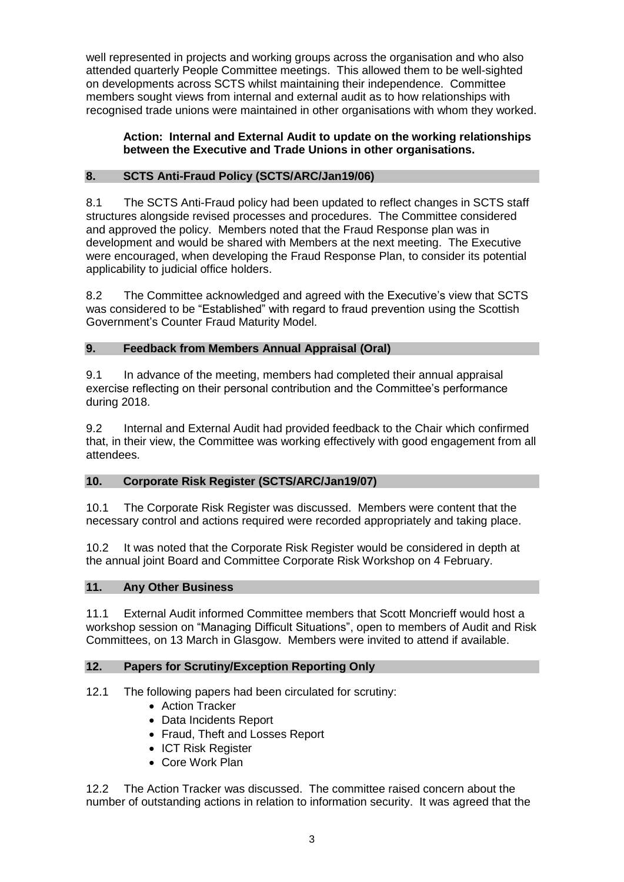well represented in projects and working groups across the organisation and who also attended quarterly People Committee meetings. This allowed them to be well-sighted on developments across SCTS whilst maintaining their independence. Committee members sought views from internal and external audit as to how relationships with recognised trade unions were maintained in other organisations with whom they worked.

## **Action: Internal and External Audit to update on the working relationships between the Executive and Trade Unions in other organisations.**

# **8. SCTS Anti-Fraud Policy (SCTS/ARC/Jan19/06)**

8.1 The SCTS Anti-Fraud policy had been updated to reflect changes in SCTS staff structures alongside revised processes and procedures. The Committee considered and approved the policy. Members noted that the Fraud Response plan was in development and would be shared with Members at the next meeting. The Executive were encouraged, when developing the Fraud Response Plan, to consider its potential applicability to judicial office holders.

8.2 The Committee acknowledged and agreed with the Executive's view that SCTS was considered to be "Established" with regard to fraud prevention using the Scottish Government's Counter Fraud Maturity Model.

## **9. Feedback from Members Annual Appraisal (Oral)**

9.1 In advance of the meeting, members had completed their annual appraisal exercise reflecting on their personal contribution and the Committee's performance during 2018.

9.2 Internal and External Audit had provided feedback to the Chair which confirmed that, in their view, the Committee was working effectively with good engagement from all attendees.

## **10. Corporate Risk Register (SCTS/ARC/Jan19/07)**

10.1 The Corporate Risk Register was discussed. Members were content that the necessary control and actions required were recorded appropriately and taking place.

10.2 It was noted that the Corporate Risk Register would be considered in depth at the annual joint Board and Committee Corporate Risk Workshop on 4 February.

## **11. Any Other Business**

11.1 External Audit informed Committee members that Scott Moncrieff would host a workshop session on "Managing Difficult Situations", open to members of Audit and Risk Committees, on 13 March in Glasgow. Members were invited to attend if available.

## **12. Papers for Scrutiny/Exception Reporting Only**

12.1 The following papers had been circulated for scrutiny:

- Action Tracker
- Data Incidents Report
- Fraud, Theft and Losses Report
- ICT Risk Register
- Core Work Plan

12.2 The Action Tracker was discussed. The committee raised concern about the number of outstanding actions in relation to information security. It was agreed that the